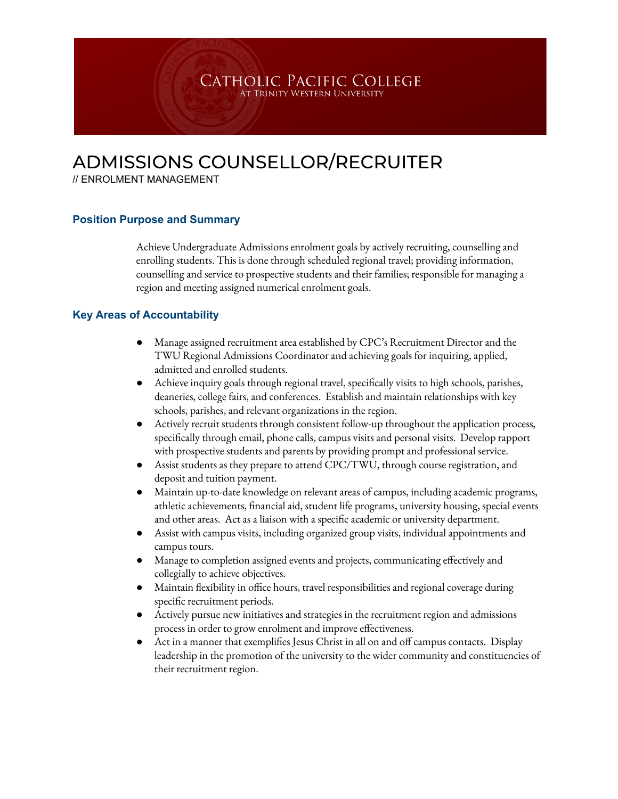# ADMISSIONS COUNSELLOR/RECRUITER

// ENROLMENT MANAGEMENT

### **Position Purpose and Summary**

Achieve Undergraduate Admissions enrolment goals by actively recruiting, counselling and enrolling students. This is done through scheduled regional travel; providing information, counselling and service to prospective students and their families; responsible for managing a region and meeting assigned numerical enrolment goals.

CATHOLIC PACIFIC COLLEGE AT TRINITY WESTERN UNIVERSI'

#### **Key Areas of Accountability**

- Manage assigned recruitment area established by CPC's Recruitment Director and the TWU Regional Admissions Coordinator and achieving goals for inquiring, applied, admitted and enrolled students.
- Achieve inquiry goals through regional travel, specifically visits to high schools, parishes, deaneries, college fairs, and conferences. Establish and maintain relationships with key schools, parishes, and relevant organizations in the region.
- Actively recruit students through consistent follow-up throughout the application process, specifically through email, phone calls, campus visits and personal visits. Develop rapport with prospective students and parents by providing prompt and professional service.
- Assist students as they prepare to attend CPC/TWU, through course registration, and deposit and tuition payment.
- Maintain up-to-date knowledge on relevant areas of campus, including academic programs, athletic achievements, financial aid, student life programs, university housing, special events and other areas. Act as a liaison with a specific academic or university department.
- Assist with campus visits, including organized group visits, individual appointments and campus tours.
- Manage to completion assigned events and projects, communicating effectively and collegially to achieve objectives.
- Maintain flexibility in office hours, travel responsibilities and regional coverage during specific recruitment periods.
- Actively pursue new initiatives and strategies in the recruitment region and admissions process in order to grow enrolment and improve effectiveness.
- Act in a manner that exemplifies Jesus Christ in all on and off campus contacts. Display leadership in the promotion of the university to the wider community and constituencies of their recruitment region.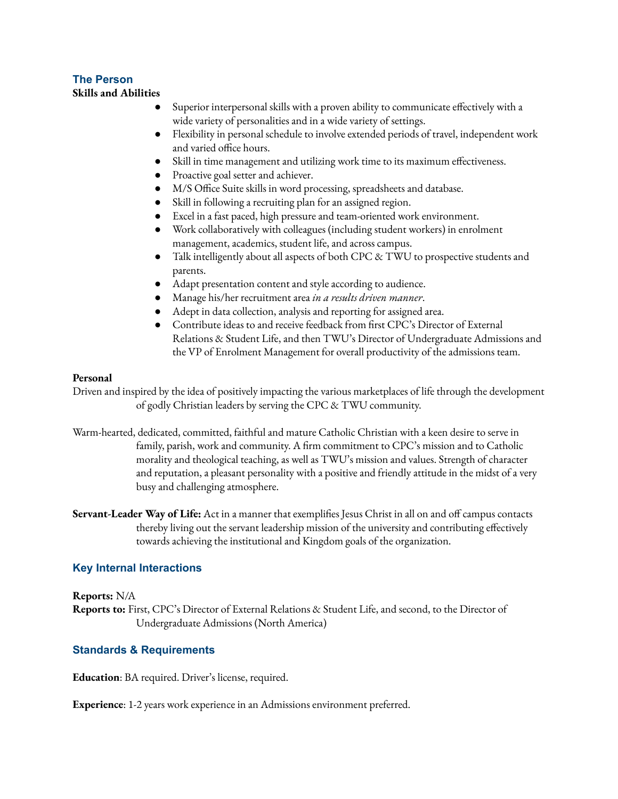## **The Person**

#### **Skills and Abilities**

- Superior interpersonal skills with a proven ability to communicate effectively with a wide variety of personalities and in a wide variety of settings.
- Flexibility in personal schedule to involve extended periods of travel, independent work and varied office hours.
- Skill in time management and utilizing work time to its maximum effectiveness.
- Proactive goal setter and achiever.
- M/S Office Suite skills in word processing, spreadsheets and database.
- Skill in following a recruiting plan for an assigned region.
- Excel in a fast paced, high pressure and team-oriented work environment.
- Work collaboratively with colleagues (including student workers) in enrolment management, academics, student life, and across campus.
- Talk intelligently about all aspects of both CPC & TWU to prospective students and parents.
- Adapt presentation content and style according to audience.
- Manage his/her recruitment area *in a results driven manner*.
- Adept in data collection, analysis and reporting for assigned area.
- Contribute ideas to and receive feedback from first CPC's Director of External Relations & Student Life, and then TWU's Director of Undergraduate Admissions and the VP of Enrolment Management for overall productivity of the admissions team.

### **Personal**

Driven and inspired by the idea of positively impacting the various marketplaces of life through the development of godly Christian leaders by serving the CPC & TWU community.

- Warm-hearted, dedicated, committed, faithful and mature Catholic Christian with a keen desire to serve in family, parish, work and community. A firm commitment to CPC's mission and to Catholic morality and theological teaching, as well as TWU's mission and values. Strength of character and reputation, a pleasant personality with a positive and friendly attitude in the midst of a very busy and challenging atmosphere.
- **Servant-Leader Way of Life:** Act in a manner that exemplifies Jesus Christ in all on and off campus contacts thereby living out the servant leadership mission of the university and contributing effectively towards achieving the institutional and Kingdom goals of the organization.

### **Key Internal Interactions**

#### **Reports:** N/A

**Reports to:** First, CPC's Director of External Relations & Student Life, and second, to the Director of Undergraduate Admissions (North America)

### **Standards & Requirements**

**Education**: BA required. Driver's license, required.

**Experience**: 1-2 years work experience in an Admissions environment preferred.